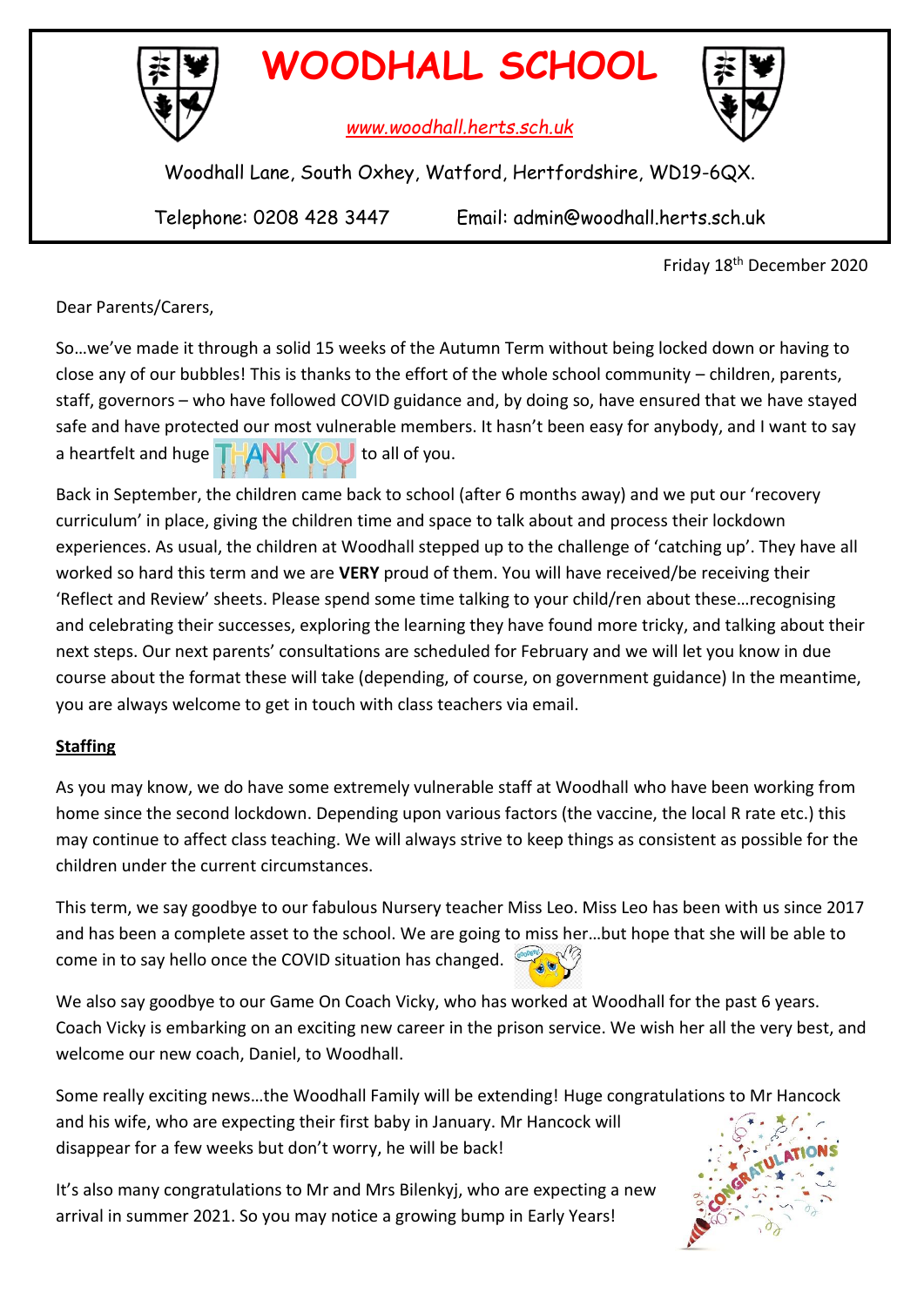

# **WOODHALL SCHOOL**

*www.woodhall.herts.sch.uk*



Woodhall Lane, South Oxhey, Watford, Hertfordshire, WD19-6QX.

Telephone: 0208 428 3447 Email: admin@woodhall.herts.sch.uk

Friday 18th December 2020

Dear Parents/Carers,

So…we've made it through a solid 15 weeks of the Autumn Term without being locked down or having to close any of our bubbles! This is thanks to the effort of the whole school community – children, parents, staff, governors – who have followed COVID guidance and, by doing so, have ensured that we have stayed safe and have protected our most vulnerable members. It hasn't been easy for anybody, and I want to say a heartfelt and huge  $T+A$   $K$   $Y_0$  to all of you.

Back in September, the children came back to school (after 6 months away) and we put our 'recovery curriculum' in place, giving the children time and space to talk about and process their lockdown experiences. As usual, the children at Woodhall stepped up to the challenge of 'catching up'. They have all worked so hard this term and we are **VERY** proud of them. You will have received/be receiving their 'Reflect and Review' sheets. Please spend some time talking to your child/ren about these…recognising and celebrating their successes, exploring the learning they have found more tricky, and talking about their next steps. Our next parents' consultations are scheduled for February and we will let you know in due course about the format these will take (depending, of course, on government guidance) In the meantime, you are always welcome to get in touch with class teachers via email.

# **Staffing**

As you may know, we do have some extremely vulnerable staff at Woodhall who have been working from home since the second lockdown. Depending upon various factors (the vaccine, the local R rate etc.) this may continue to affect class teaching. We will always strive to keep things as consistent as possible for the children under the current circumstances.

This term, we say goodbye to our fabulous Nursery teacher Miss Leo. Miss Leo has been with us since 2017 and has been a complete asset to the school. We are going to miss her…but hope that she will be able to come in to say hello once the COVID situation has changed.

We also say goodbye to our Game On Coach Vicky, who has worked at Woodhall for the past 6 years. Coach Vicky is embarking on an exciting new career in the prison service. We wish her all the very best, and welcome our new coach, Daniel, to Woodhall.

Some really exciting news…the Woodhall Family will be extending! Huge congratulations to Mr Hancock and his wife, who are expecting their first baby in January. Mr Hancock will disappear for a few weeks but don't worry, he will be back!

It's also many congratulations to Mr and Mrs Bilenkyj, who are expecting a new arrival in summer 2021. So you may notice a growing bump in Early Years!

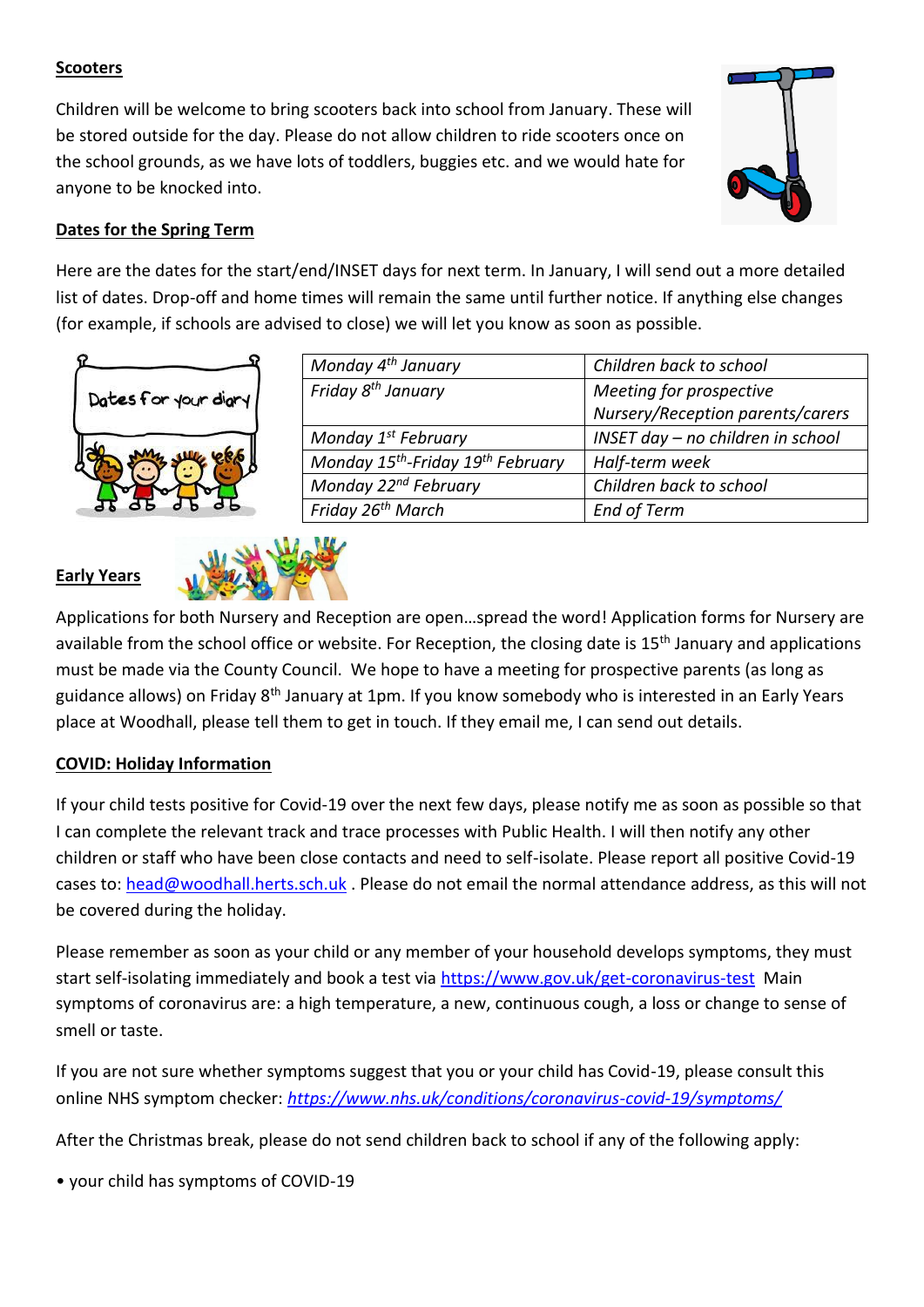#### **Scooters**

Children will be welcome to bring scooters back into school from January. These will be stored outside for the day. Please do not allow children to ride scooters once on the school grounds, as we have lots of toddlers, buggies etc. and we would hate for anyone to be knocked into.



## **Dates for the Spring Term**

Here are the dates for the start/end/INSET days for next term. In January, I will send out a more detailed list of dates. Drop-off and home times will remain the same until further notice. If anything else changes (for example, if schools are advised to close) we will let you know as soon as possible.





| Monday 4 <sup>th</sup> January                            | Children back to school           |
|-----------------------------------------------------------|-----------------------------------|
| Friday 8 <sup>th</sup> January                            | Meeting for prospective           |
|                                                           | Nursery/Reception parents/carers  |
| Monday 1 <sup>st</sup> February                           | INSET day - no children in school |
| Monday 15 <sup>th</sup> -Friday 19 <sup>th</sup> February | Half-term week                    |
| Monday 22 <sup>nd</sup> February                          | Children back to school           |
| Friday 26 <sup>th</sup> March                             | <b>End of Term</b>                |

Applications for both Nursery and Reception are open…spread the word! Application forms for Nursery are available from the school office or website. For Reception, the closing date is 15<sup>th</sup> January and applications must be made via the County Council. We hope to have a meeting for prospective parents (as long as guidance allows) on Friday 8<sup>th</sup> January at 1pm. If you know somebody who is interested in an Early Years place at Woodhall, please tell them to get in touch. If they email me, I can send out details.

### **COVID: Holiday Information**

If your child tests positive for Covid-19 over the next few days, please notify me as soon as possible so that I can complete the relevant track and trace processes with Public Health. I will then notify any other children or staff who have been close contacts and need to self-isolate. Please report all positive Covid-19 cases to: [head@woodhall.herts.sch.uk](mailto:head@woodhall.herts.sch.uk) . Please do not email the normal attendance address, as this will not be covered during the holiday.

Please remember as soon as your child or any member of your household develops symptoms, they must start self-isolating immediately and book a test via<https://www.gov.uk/get-coronavirus-test> Main symptoms of coronavirus are: a high temperature, a new, continuous cough, a loss or change to sense of smell or taste.

If you are not sure whether symptoms suggest that you or your child has Covid-19, please consult this online NHS symptom checker: *<https://www.nhs.uk/conditions/coronavirus-covid-19/symptoms/>*

After the Christmas break, please do not send children back to school if any of the following apply:

• your child has symptoms of COVID-19